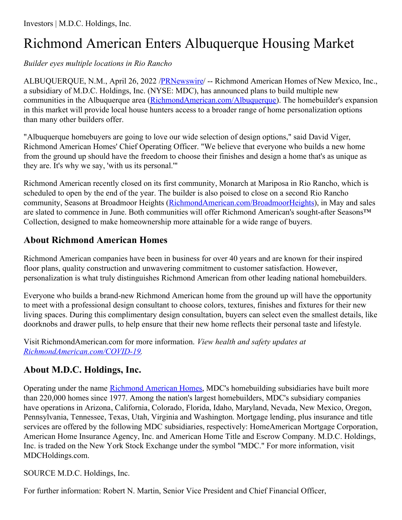## Richmond American Enters Albuquerque Housing Market

*Builder eyes multiple locations in Rio Rancho*

ALBUQUERQUE, N.M., April 26, 2022 [/PRNewswire](http://www.prnewswire.com/)/ -- Richmond American Homes of New Mexico, Inc., a subsidiary of M.D.C. Holdings, Inc. (NYSE: MDC), has announced plans to build multiple new communities in the Albuquerque area [\(RichmondAmerican.com/Albuquerque](https://c212.net/c/link/?t=0&l=en&o=3516825-1&h=1891507012&u=https%3A%2F%2Fwww.richmondamerican.com%2Fnew-mexico%2Falbuquerque-new-homes%2Frio-rancho%2Fseasons-at-broadmoor-heights&a=RichmondAmerican.com%2FAlbuquerque)). The homebuilder's expansion in this market will provide local house hunters access to a broader range of home personalization options than many other builders offer.

"Albuquerque homebuyers are going to love our wide selection of design options," said David Viger, Richmond American Homes' Chief Operating Officer. "We believe that everyone who builds a new home from the ground up should have the freedom to choose their finishes and design a home that's as unique as they are. It's why we say, 'with us its personal.'"

Richmond American recently closed on its first community, Monarch at Mariposa in Rio Rancho, which is scheduled to open by the end of the year. The builder is also poised to close on a second Rio Rancho community, Seasons at Broadmoor Heights [\(RichmondAmerican.com/BroadmoorHeights](https://c212.net/c/link/?t=0&l=en&o=3516825-1&h=1008407136&u=https%3A%2F%2Fwww.richmondamerican.com%2Fnew-mexico%2Falbuquerque-new-homes%2Frio-rancho%2Fseasons-at-broadmoor-heights&a=RichmondAmerican.com%2FBroadmoorHeights)), in May and sales are slated to commence in June. Both communities will offer Richmond American's sought-after Seasons™ Collection, designed to make homeownership more attainable for a wide range of buyers.

## **About Richmond American Homes**

Richmond American companies have been in business for over 40 years and are known for their inspired floor plans, quality construction and unwavering commitment to customer satisfaction. However, personalization is what truly distinguishes Richmond American from other leading national homebuilders.

Everyone who builds a brand-new Richmond American home from the ground up will have the opportunity to meet with a professional design consultant to choose colors, textures, finishes and fixtures for their new living spaces. During this complimentary design consultation, buyers can select even the smallest details, like doorknobs and drawer pulls, to help ensure that their new home reflects their personal taste and lifestyle.

Visit RichmondAmerican.com for more information. *View health and safety updates at [RichmondAmerican.com/COVID-19](https://c212.net/c/link/?t=0&l=en&o=3516825-1&h=3097905169&u=https%3A%2F%2Fwww.richmondamerican.com%2Fcovid-19&a=RichmondAmerican.com%2FCOVID-19).*

## **About M.D.C. Holdings, Inc.**

Operating under the name [Richmond](https://c212.net/c/link/?t=0&l=en&o=3516825-1&h=1294338779&u=https%3A%2F%2Fwww.richmondamerican.com%2F&a=Richmond+American+Homes) American Homes, MDC's homebuilding subsidiaries have built more than 220,000 homes since 1977. Among the nation's largest homebuilders, MDC's subsidiary companies have operations in Arizona, California, Colorado, Florida, Idaho, Maryland, Nevada, New Mexico, Oregon, Pennsylvania, Tennessee, Texas, Utah, Virginia and Washington. Mortgage lending, plus insurance and title services are offered by the following MDC subsidiaries, respectively: HomeAmerican Mortgage Corporation, American Home Insurance Agency, Inc. and American Home Title and Escrow Company. M.D.C. Holdings, Inc. is traded on the New York Stock Exchange under the symbol "MDC." For more information, visit MDCHoldings.com.

SOURCE M.D.C. Holdings, Inc.

For further information: Robert N. Martin, Senior Vice President and Chief Financial Officer,